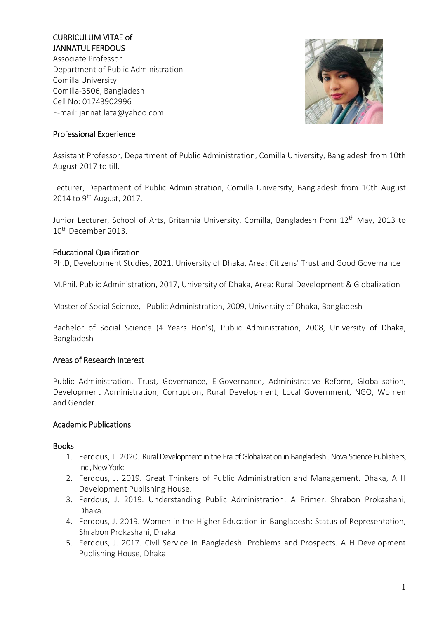# CURRICULUM VITAE of JANNATUL FERDOUS

Associate Professor Department of Public Administration Comilla University Comilla-3506, Bangladesh Cell No: 01743902996 E-mail: [jannat.lata@yahoo.com](mailto:jannat.lata@yahoo.com)



## Professional Experience

Assistant Professor, Department of Public Administration, Comilla University, Bangladesh from 10th August 2017 to till.

Lecturer, Department of Public Administration, Comilla University, Bangladesh from 10th August 2014 to  $9^{th}$  August, 2017.

Junior Lecturer, School of Arts, Britannia University, Comilla, Bangladesh from 12<sup>th</sup> May, 2013 to 10th December 2013.

### Educational Qualification

Ph.D, Development Studies, 2021, University of Dhaka, Area: Citizens' Trust and Good Governance

M.Phil. Public Administration, 2017, University of Dhaka, Area: Rural Development & Globalization

Master of Social Science, Public Administration, 2009, University of Dhaka, Bangladesh

Bachelor of Social Science (4 Years Hon's), Public Administration, 2008, University of Dhaka, Bangladesh

### Areas of Research Interest

Public Administration, Trust, Governance, E-Governance, Administrative Reform, Globalisation, Development Administration, Corruption, Rural Development, Local Government, NGO, Women and Gender.

### Academic Publications

#### Books

- 1. Ferdous, J. 2020. Rural Development in the Era of Globalization in Bangladesh.. Nova Science Publishers, Inc., New York:.
- 2. Ferdous, J. 2019. Great Thinkers of Public Administration and Management. Dhaka, A H Development Publishing House.
- 3. Ferdous, J. 2019. Understanding Public Administration: A Primer. Shrabon Prokashani, Dhaka.
- 4. Ferdous, J. 2019. Women in the Higher Education in Bangladesh: Status of Representation, Shrabon Prokashani, Dhaka.
- 5. Ferdous, J. 2017. Civil Service in Bangladesh: Problems and Prospects. A H Development Publishing House, Dhaka.